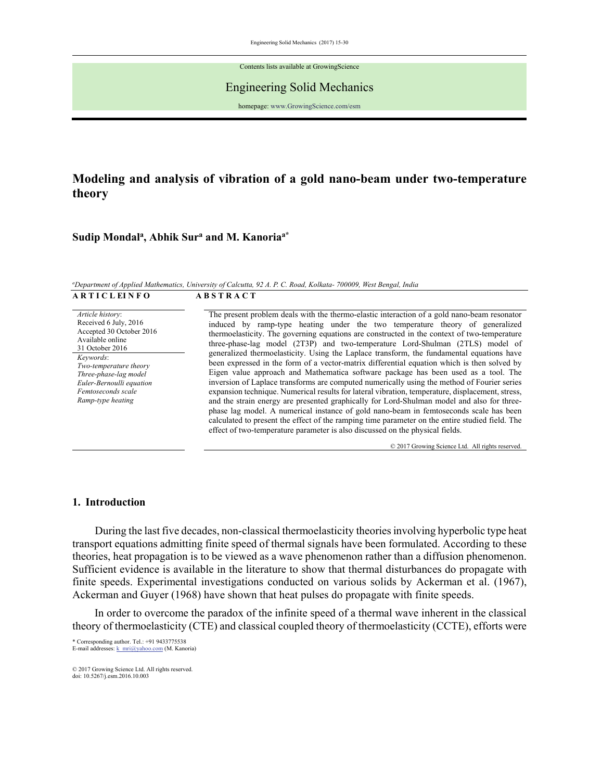Engineering Solid Mechanics (2017) 15-30

Contents lists available at GrowingScience

# Engineering Solid Mechanics

homepage: www.GrowingScience.com/esm

# **Modeling and analysis of vibration of a gold nano-beam under two-temperature theory**

# Sudip Mondal<sup>a</sup>, Abhik Sur<sup>a</sup> and M. Kanoria<sup>a\*</sup>

| <b>ARTICLEINFO</b>                                                                                                                                                                                                                                  | <b>ABSTRACT</b>                                                                                                                                                                                                                                                                                                                                                                                                                                                                                                                                                                                                                               |
|-----------------------------------------------------------------------------------------------------------------------------------------------------------------------------------------------------------------------------------------------------|-----------------------------------------------------------------------------------------------------------------------------------------------------------------------------------------------------------------------------------------------------------------------------------------------------------------------------------------------------------------------------------------------------------------------------------------------------------------------------------------------------------------------------------------------------------------------------------------------------------------------------------------------|
| Article history:<br>Received 6 July, 2016<br>Accepted 30 October 2016<br>Available online<br>31 October 2016<br>Keywords:<br>Two-temperature theory<br>Three-phase-lag model<br>Euler-Bernoulli equation<br>Femtoseconds scale<br>Ramp-type heating | The present problem deals with the thermo-elastic interaction of a gold nano-beam resonator<br>induced by ramp-type heating under the two temperature theory of generalized<br>thermoelasticity. The governing equations are constructed in the context of two-temperature<br>three-phase-lag model (2T3P) and two-temperature Lord-Shulman (2TLS) model of<br>generalized thermoelasticity. Using the Laplace transform, the fundamental equations have<br>been expressed in the form of a vector-matrix differential equation which is then solved by<br>Eigen value approach and Mathematica software package has been used as a tool. The |
|                                                                                                                                                                                                                                                     | inversion of Laplace transforms are computed numerically using the method of Fourier series<br>expansion technique. Numerical results for lateral vibration, temperature, displacement, stress,<br>and the strain energy are presented graphically for Lord-Shulman model and also for three-<br>phase lag model. A numerical instance of gold nano-beam in femtoseconds scale has been<br>calculated to present the effect of the ramping time parameter on the entire studied field. The<br>effect of two-temperature parameter is also discussed on the physical fields.                                                                   |

*a Department of Applied Mathematics, University of Calcutta, 92 A. P. C. Road, Kolkata- 700009, West Bengal, India* 

© 2017 Growing Science Ltd. All rights reserved.

#### **1. Introduction**

 During the last five decades, non-classical thermoelasticity theories involving hyperbolic type heat transport equations admitting finite speed of thermal signals have been formulated. According to these theories, heat propagation is to be viewed as a wave phenomenon rather than a diffusion phenomenon. Sufficient evidence is available in the literature to show that thermal disturbances do propagate with finite speeds. Experimental investigations conducted on various solids by Ackerman et al. (1967), Ackerman and Guyer (1968) have shown that heat pulses do propagate with finite speeds.

 In order to overcome the paradox of the infinite speed of a thermal wave inherent in the classical theory of thermoelasticity (CTE) and classical coupled theory of thermoelasticity (CCTE), efforts were

\* Corresponding author. Tel.: +91 9433775538<br>E-mail addresses: <u>k\_mri@yahoo.com</u> (M. Kanoria)

© 2017 Growing Science Ltd. All rights reserved. doi: 10.5267/j.esm.2016.10.003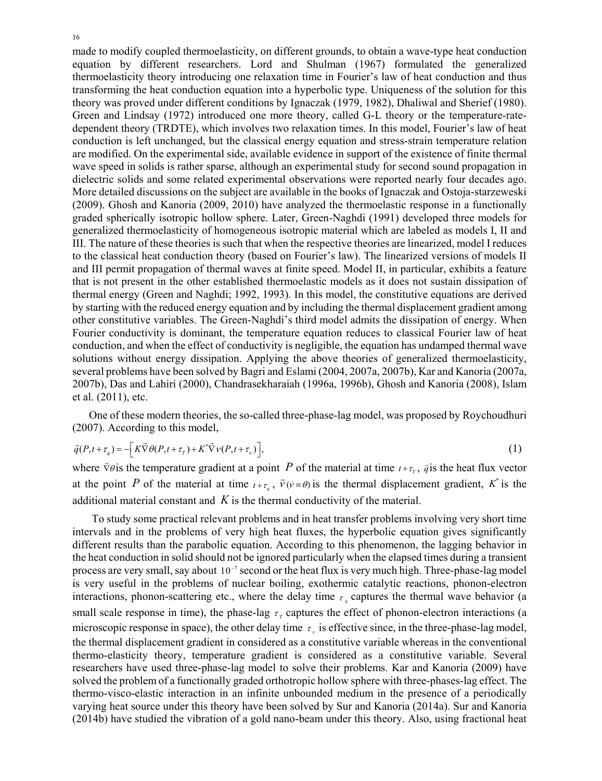made to modify coupled thermoelasticity, on different grounds, to obtain a wave-type heat conduction equation by different researchers. Lord and Shulman (1967) formulated the generalized thermoelasticity theory introducing one relaxation time in Fourier's law of heat conduction and thus transforming the heat conduction equation into a hyperbolic type. Uniqueness of the solution for this theory was proved under different conditions by Ignaczak (1979, 1982), Dhaliwal and Sherief (1980). Green and Lindsay (1972) introduced one more theory, called G-L theory or the temperature-ratedependent theory (TRDTE), which involves two relaxation times. In this model, Fourier's law of heat conduction is left unchanged, but the classical energy equation and stress-strain temperature relation are modified. On the experimental side, available evidence in support of the existence of finite thermal wave speed in solids is rather sparse, although an experimental study for second sound propagation in dielectric solids and some related experimental observations were reported nearly four decades ago. More detailed discussions on the subject are available in the books of Ignaczak and Ostoja-starzeweski (2009). Ghosh and Kanoria (2009, 2010) have analyzed the thermoelastic response in a functionally graded spherically isotropic hollow sphere. Later, Green-Naghdi (1991) developed three models for generalized thermoelasticity of homogeneous isotropic material which are labeled as models I, II and III. The nature of these theories is such that when the respective theories are linearized, model I reduces to the classical heat conduction theory (based on Fourier's law). The linearized versions of models II and III permit propagation of thermal waves at finite speed. Model II, in particular, exhibits a feature that is not present in the other established thermoelastic models as it does not sustain dissipation of thermal energy (Green and Naghdi; 1992, 1993). In this model, the constitutive equations are derived by starting with the reduced energy equation and by including the thermal displacement gradient among other constitutive variables. The Green-Naghdi's third model admits the dissipation of energy. When Fourier conductivity is dominant, the temperature equation reduces to classical Fourier law of heat conduction, and when the effect of conductivity is negligible, the equation has undamped thermal wave solutions without energy dissipation. Applying the above theories of generalized thermoelasticity, several problems have been solved by Bagri and Eslami (2004, 2007a, 2007b), Kar and Kanoria (2007a, 2007b), Das and Lahiri (2000), Chandrasekharaiah (1996a, 1996b), Ghosh and Kanoria (2008), Islam et al. (2011), etc.

 One of these modern theories, the so-called three-phase-lag model, was proposed by Roychoudhuri (2007). According to this model,

$$
\vec{q}(P,t+\tau_q) = -\left[K\vec{\nabla}\theta(P,t+\tau_r) + K^*\vec{\nabla}\nu(P,t+\tau_v)\right],\tag{1}
$$

where  $\vec{\nabla} \theta$  is the temperature gradient at a point *P* of the material at time  $t + \tau_r$ ,  $\vec{q}$  is the heat flux vector at the point *P* of the material at time  $t + \tau_q$ ,  $\vec{v}$  ( $\vec{v} = \theta$ ) is the thermal displacement gradient, K<sup>\*</sup> is the additional material constant and *K* is the thermal conductivity of the material.

 To study some practical relevant problems and in heat transfer problems involving very short time intervals and in the problems of very high heat fluxes, the hyperbolic equation gives significantly different results than the parabolic equation. According to this phenomenon, the lagging behavior in the heat conduction in solid should not be ignored particularly when the elapsed times during a transient process are very small, say about  $10^{-7}$  second or the heat flux is very much high. Three-phase-lag model is very useful in the problems of nuclear boiling, exothermic catalytic reactions, phonon-electron interactions, phonon-scattering etc., where the delay time  $\tau_{\varrho}$  captures the thermal wave behavior (a small scale response in time), the phase-lag  $\tau_r$  captures the effect of phonon-electron interactions (a microscopic response in space), the other delay time  $\tau_{\nu}$  is effective since, in the three-phase-lag model, the thermal displacement gradient in considered as a constitutive variable whereas in the conventional thermo-elasticity theory, temperature gradient is considered as a constitutive variable. Several researchers have used three-phase-lag model to solve their problems. Kar and Kanoria (2009) have solved the problem of a functionally graded orthotropic hollow sphere with three-phases-lag effect. The thermo-visco-elastic interaction in an infinite unbounded medium in the presence of a periodically varying heat source under this theory have been solved by Sur and Kanoria (2014a). Sur and Kanoria (2014b) have studied the vibration of a gold nano-beam under this theory. Also, using fractional heat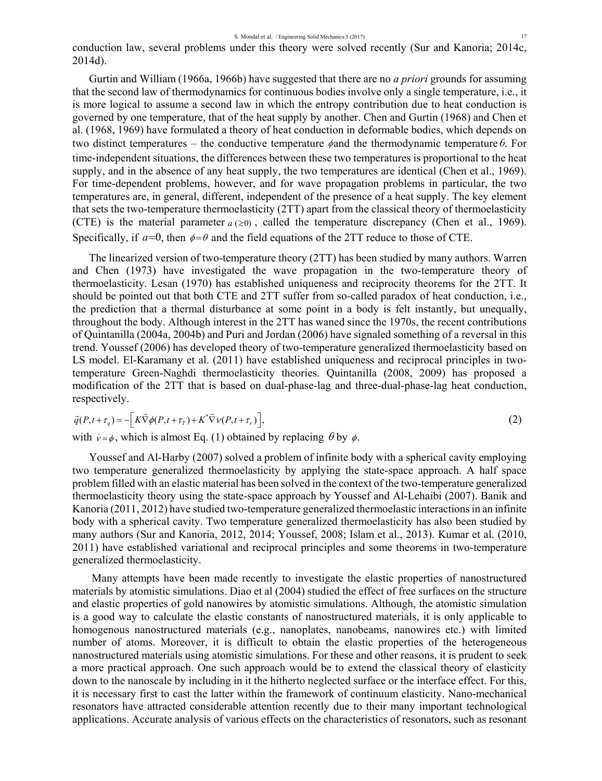conduction law, several problems under this theory were solved recently (Sur and Kanoria; 2014c, 2014d).

 Gurtin and William (1966a, 1966b) have suggested that there are no *a priori* grounds for assuming that the second law of thermodynamics for continuous bodies involve only a single temperature, i.e., it is more logical to assume a second law in which the entropy contribution due to heat conduction is governed by one temperature, that of the heat supply by another. Chen and Gurtin (1968) and Chen et al. (1968, 1969) have formulated a theory of heat conduction in deformable bodies, which depends on two distinct temperatures – the conductive temperature  $\phi$  and the thermodynamic temperature  $\theta$ . For time-independent situations, the differences between these two temperatures is proportional to the heat supply, and in the absence of any heat supply, the two temperatures are identical (Chen et al., 1969). For time-dependent problems, however, and for wave propagation problems in particular, the two temperatures are, in general, different, independent of the presence of a heat supply. The key element that sets the two-temperature thermoelasticity (2TT) apart from the classical theory of thermoelasticity (CTE) is the material parameter  $a \ge 0$ , called the temperature discrepancy (Chen et al., 1969). Specifically, if  $a=0$ , then  $\phi = \theta$  and the field equations of the 2TT reduce to those of CTE.

 The linearized version of two-temperature theory (2TT) has been studied by many authors. Warren and Chen (1973) have investigated the wave propagation in the two-temperature theory of thermoelasticity. Lesan (1970) has established uniqueness and reciprocity theorems for the 2TT. It should be pointed out that both CTE and 2TT suffer from so-called paradox of heat conduction, i.e., the prediction that a thermal disturbance at some point in a body is felt instantly, but unequally, throughout the body. Although interest in the 2TT has waned since the 1970s, the recent contributions of Quintanilla (2004a, 2004b) and Puri and Jordan (2006) have signaled something of a reversal in this trend. Youssef (2006) has developed theory of two-temperature generalized thermoelasticity based on LS model. El-Karamany et al. (2011) have established uniqueness and reciprocal principles in twotemperature Green-Naghdi thermoelasticity theories. Quintanilla (2008, 2009) has proposed a modification of the 2TT that is based on dual-phase-lag and three-dual-phase-lag heat conduction, respectively.

$$
\vec{q}(P,t+\tau_q) = -\left[K\vec{\nabla}\phi(P,t+\tau_r) + K^*\vec{\nabla}V(P,t+\tau_v)\right],\tag{2}
$$

with  $\dot{v} = \phi$ , which is almost Eq. (1) obtained by replacing  $\theta$  by  $\phi$ .

 Youssef and Al-Harby (2007) solved a problem of infinite body with a spherical cavity employing two temperature generalized thermoelasticity by applying the state-space approach. A half space problem filled with an elastic material has been solved in the context of the two-temperature generalized thermoelasticity theory using the state-space approach by Youssef and Al-Lehaibi (2007). Banik and Kanoria (2011, 2012) have studied two-temperature generalized thermoelastic interactions in an infinite body with a spherical cavity. Two temperature generalized thermoelasticity has also been studied by many authors (Sur and Kanoria, 2012, 2014; Youssef, 2008; Islam et al., 2013). Kumar et al. (2010, 2011) have established variational and reciprocal principles and some theorems in two-temperature generalized thermoelasticity.

 Many attempts have been made recently to investigate the elastic properties of nanostructured materials by atomistic simulations. Diao et al (2004) studied the effect of free surfaces on the structure and elastic properties of gold nanowires by atomistic simulations. Although, the atomistic simulation is a good way to calculate the elastic constants of nanostructured materials, it is only applicable to homogenous nanostructured materials (e.g., nanoplates, nanobeams, nanowires etc.) with limited number of atoms. Moreover, it is difficult to obtain the elastic properties of the heterogeneous nanostructured materials using atomistic simulations. For these and other reasons, it is prudent to seek a more practical approach. One such approach would be to extend the classical theory of elasticity down to the nanoscale by including in it the hitherto neglected surface or the interface effect. For this, it is necessary first to cast the latter within the framework of continuum elasticity. Nano-mechanical resonators have attracted considerable attention recently due to their many important technological applications. Accurate analysis of various effects on the characteristics of resonators, such as resonant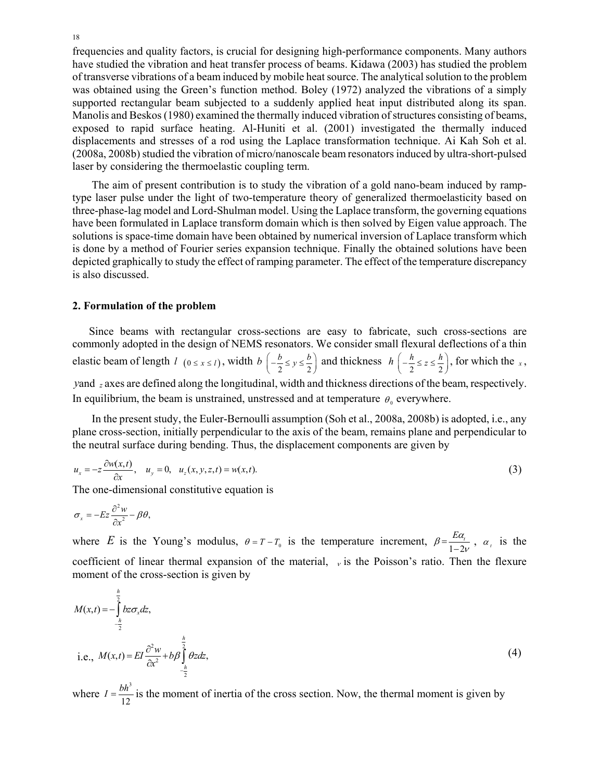frequencies and quality factors, is crucial for designing high-performance components. Many authors have studied the vibration and heat transfer process of beams. Kidawa (2003) has studied the problem of transverse vibrations of a beam induced by mobile heat source. The analytical solution to the problem was obtained using the Green's function method. Boley (1972) analyzed the vibrations of a simply supported rectangular beam subjected to a suddenly applied heat input distributed along its span. Manolis and Beskos (1980) examined the thermally induced vibration of structures consisting of beams, exposed to rapid surface heating. Al-Huniti et al. (2001) investigated the thermally induced displacements and stresses of a rod using the Laplace transformation technique. Ai Kah Soh et al. (2008a, 2008b) studied the vibration of micro/nanoscale beam resonators induced by ultra-short-pulsed laser by considering the thermoelastic coupling term.

 The aim of present contribution is to study the vibration of a gold nano-beam induced by ramptype laser pulse under the light of two-temperature theory of generalized thermoelasticity based on three-phase-lag model and Lord-Shulman model. Using the Laplace transform, the governing equations have been formulated in Laplace transform domain which is then solved by Eigen value approach. The solutions is space-time domain have been obtained by numerical inversion of Laplace transform which is done by a method of Fourier series expansion technique. Finally the obtained solutions have been depicted graphically to study the effect of ramping parameter. The effect of the temperature discrepancy is also discussed.

#### **2. Formulation of the problem**

 Since beams with rectangular cross-sections are easy to fabricate, such cross-sections are commonly adopted in the design of NEMS resonators. We consider small flexural deflections of a thin elastic beam of length *l*  $(0 \le x \le l)$ , width  $b\left(-\frac{b}{2} \le y \le \frac{b}{2}\right)$  $\left(-\frac{b}{2} \le y \le \frac{b}{2}\right)$  and thickness  $h\left(-\frac{h}{2} \le z \le \frac{h}{2}\right)$ , for which the *x*, *y*and *<sup>z</sup>* axes are defined along the longitudinal, width and thickness directions of the beam, respectively. In equilibrium, the beam is unstrained, unstressed and at temperature  $\theta_0$  everywhere.

 In the present study, the Euler-Bernoulli assumption (Soh et al., 2008a, 2008b) is adopted, i.e., any plane cross-section, initially perpendicular to the axis of the beam, remains plane and perpendicular to the neutral surface during bending. Thus, the displacement components are given by

$$
u_x = -z \frac{\partial w(x,t)}{\partial x}, \quad u_y = 0, \quad u_z(x,y,z,t) = w(x,t). \tag{3}
$$

The one-dimensional constitutive equation is

$$
\sigma_x = -Ez \frac{\partial^2 w}{\partial x^2} - \beta \theta,
$$

where *E* is the Young's modulus,  $\theta = T - T_0$  is the temperature increment,  $\beta = \frac{E\alpha_t}{1 - 2\nu}$ ,  $\alpha_t$  is the coefficient of linear thermal expansion of the material,  $\sqrt{v}$  is the Poisson's ratio. Then the flexure moment of the cross-section is given by

$$
M(x,t) = -\int_{-\frac{h}{2}}^{\frac{h}{2}} bz \sigma_x dz,
$$
  
i.e., 
$$
M(x,t) = EI \frac{\partial^2 w}{\partial x^2} + b\beta \int_{-\frac{h}{2}}^{\frac{h}{2}} \theta z dz,
$$
 (4)

where  $I = \frac{bh^3}{12}$  is the moment of inertia of the cross section. Now, the thermal moment is given by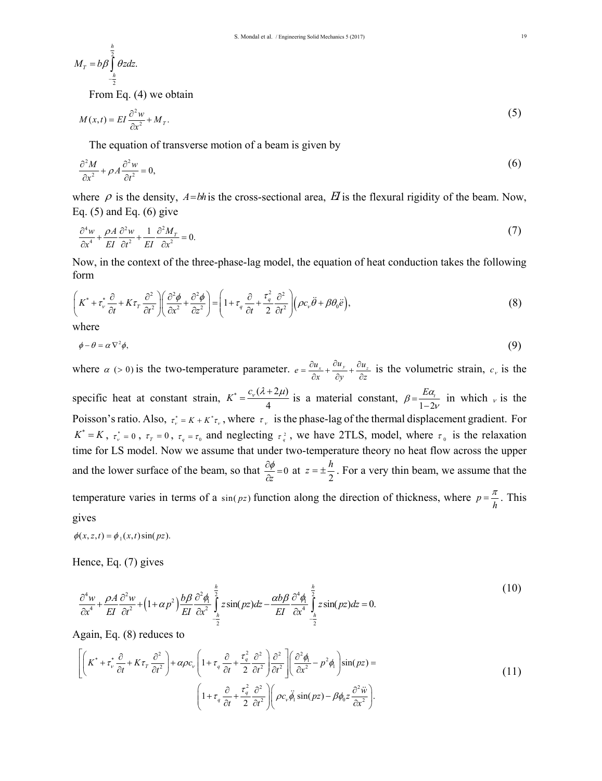$$
M_T = b\beta \int_{-\frac{h}{2}}^{\frac{h}{2}} \theta z dz.
$$

From Eq. (4) we obtain

$$
M(x,t) = EI \frac{\partial^2 w}{\partial x^2} + M_T.
$$
 (5)

The equation of transverse motion of a beam is given by

$$
\frac{\partial^2 M}{\partial x^2} + \rho A \frac{\partial^2 w}{\partial t^2} = 0,\tag{6}
$$

where  $\rho$  is the density, *A*=*bh* is the cross-sectional area, *EI* is the flexural rigidity of the beam. Now, Eq. (5) and Eq. (6) give

$$
\frac{\partial^4 w}{\partial x^4} + \frac{\rho A}{EI} \frac{\partial^2 w}{\partial t^2} + \frac{1}{EI} \frac{\partial^2 M_T}{\partial x^2} = 0.
$$
\n<sup>(7)</sup>

Now, in the context of the three-phase-lag model, the equation of heat conduction takes the following form

$$
\left(K^* + \tau_v^* \frac{\partial}{\partial t} + K\tau_r \frac{\partial^2}{\partial t^2}\right) \left(\frac{\partial^2 \phi}{\partial x^2} + \frac{\partial^2 \phi}{\partial z^2}\right) = \left(1 + \tau_q \frac{\partial}{\partial t} + \frac{\tau_q^2}{2} \frac{\partial^2}{\partial t^2}\right) \left(\rho c_v \ddot{\theta} + \beta \theta_0 \ddot{e}\right),\tag{8}
$$

where

$$
\phi - \theta = \alpha \nabla^2 \phi, \tag{9}
$$

where  $\alpha$  (> 0) is the two-temperature parameter.  $e = \frac{\partial u_x}{\partial x} + \frac{\partial u_y}{\partial y} + \frac{\partial u_z}{\partial z}$  is the volumetric strain,  $c_y$  is the specific heat at constant strain,  $K^* = \frac{c_v(\lambda + 2\mu)}{4}$  is a material constant,  $\beta = \frac{E\alpha_v}{1 - 2\nu}$  in which  $\gamma$  is the Poisson's ratio. Also,  $\tau_v^* = K + K^* \tau_v$ , where  $\tau_v$  is the phase-lag of the thermal displacement gradient. For  $K^* = K$ ,  $\tau_v^* = 0$ ,  $\tau_{\tau} = 0$ ,  $\tau_q = \tau_0$  and neglecting  $\tau_q^2$ , we have 2TLS, model, where  $\tau_0$  is the relaxation time for LS model. Now we assume that under two-temperature theory no heat flow across the upper and the lower surface of the beam, so that  $\frac{\partial \phi}{\partial z} = 0$  at  $z = \pm \frac{h}{2}$ . For a very thin beam, we assume that the temperature varies in terms of a  $sin(pz)$  function along the direction of thickness, where  $p = \frac{\pi}{h}$ . This gives

 $\phi(x, z, t) = \phi_1(x, t) \sin(pz)$ .

Hence, Eq. (7) gives

$$
\frac{\partial^4 w}{\partial x^4} + \frac{\rho A}{EI} \frac{\partial^2 w}{\partial t^2} + \left(1 + \alpha p^2\right) \frac{b\beta}{EI} \frac{\partial^2 \phi_1}{\partial x^2} \int_{-\frac{h}{2}}^{\frac{h}{2}} z \sin(pz) dz - \frac{\alpha b\beta}{EI} \frac{\partial^4 \phi_1}{\partial x^4} \int_{-\frac{h}{2}}^{\frac{h}{2}} z \sin(pz) dz = 0.
$$
\n(10)

Again, Eq. (8) reduces to

$$
\left[ \left( K^* + \tau_v^* \frac{\partial}{\partial t} + K \tau_r \frac{\partial^2}{\partial t^2} \right) + \alpha \rho c_v \left( 1 + \tau_q \frac{\partial}{\partial t} + \frac{\tau_q^2}{2} \frac{\partial^2}{\partial t^2} \right) \frac{\partial^2}{\partial t^2} \right] \left( \frac{\partial^2 \phi_1}{\partial x^2} - p^2 \phi_1 \right) \sin(pz) = \left( 11 \right) \n\left( 1 + \tau_q \frac{\partial}{\partial t} + \frac{\tau_q^2}{2} \frac{\partial^2}{\partial t^2} \right) \left( \rho c_v \ddot{\phi}_1 \sin(pz) - \beta \phi_0 z \frac{\partial^2 \ddot{w}}{\partial x^2} \right).
$$
\n(11)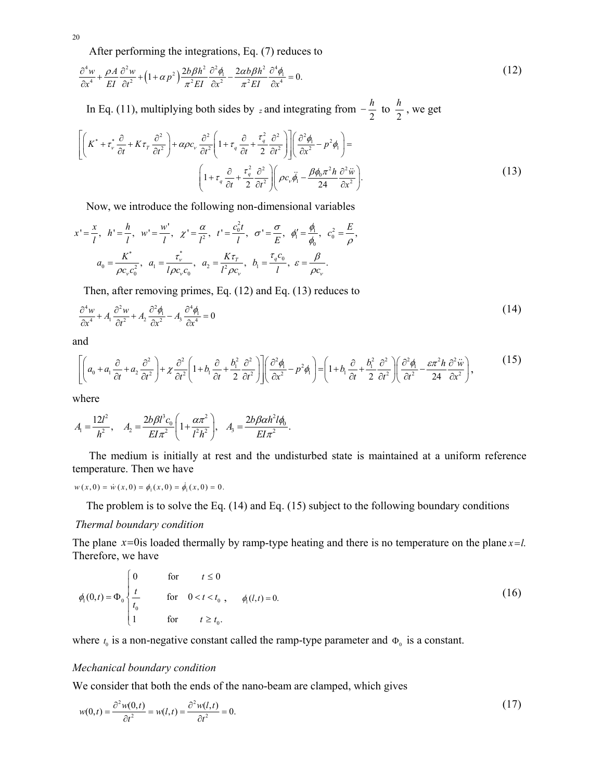After performing the integrations, Eq. (7) reduces to

$$
\frac{\partial^4 w}{\partial x^4} + \frac{\rho A}{EI} \frac{\partial^2 w}{\partial t^2} + \left(1 + \alpha p^2\right) \frac{2b\beta h^2}{\pi^2 EI} \frac{\partial^2 \phi_1}{\partial x^2} - \frac{2\alpha b\beta h^2}{\pi^2 EI} \frac{\partial^4 \phi_1}{\partial x^4} = 0.
$$
\n(12)

In Eq. (11), multiplying both sides by z and integrating from  $-\frac{h}{2}$  to  $\frac{h}{2}$  $\frac{h}{2}$ , we get

$$
\left[ \left( K^* + \tau_v^* \frac{\partial}{\partial t} + K \tau_r \frac{\partial^2}{\partial t^2} \right) + \alpha \rho c_v \frac{\partial^2}{\partial t^2} \left( 1 + \tau_q \frac{\partial}{\partial t} + \frac{\tau_q^2}{2} \frac{\partial^2}{\partial t^2} \right) \right] \left( \frac{\partial^2 \phi_i}{\partial x^2} - p^2 \phi_i \right) = \\ \left( 1 + \tau_q \frac{\partial}{\partial t} + \frac{\tau_q^2}{2} \frac{\partial^2}{\partial t^2} \right) \left( \rho c_v \ddot{\phi}_i - \frac{\rho \phi_0 \pi^2 h}{24} \frac{\partial^2 \ddot{w}}{\partial x^2} \right). \tag{13}
$$

Now, we introduce the following non-dimensional variables

$$
x' = \frac{x}{l}, \quad h' = \frac{h}{l}, \quad w' = \frac{w'}{l}, \quad \chi' = \frac{\alpha}{l^2}, \quad t' = \frac{c_0^2 t}{l}, \quad \sigma' = \frac{\sigma}{E}, \quad \phi'_l = \frac{\phi_l}{\phi_0}, \quad c_0^2 = \frac{E}{\rho},
$$

$$
a_0 = \frac{K^*}{\rho c_v c_0^2}, \quad a_1 = \frac{\tau_v^*}{l \rho c_v c_0}, \quad a_2 = \frac{K\tau_r}{l^2 \rho c_v}, \quad b_1 = \frac{\tau_q c_0}{l}, \quad \varepsilon = \frac{\beta}{\rho c_v}.
$$

Then, after removing primes, Eq. (12) and Eq. (13) reduces to

$$
\frac{\partial^4 w}{\partial x^4} + A_1 \frac{\partial^2 w}{\partial t^2} + A_2 \frac{\partial^2 \phi}{\partial x^2} - A_3 \frac{\partial^4 \phi}{\partial x^4} = 0
$$
\n(14)

and

$$
\left[ \left( a_0 + a_1 \frac{\partial}{\partial t} + a_2 \frac{\partial^2}{\partial t^2} \right) + \chi \frac{\partial^2}{\partial t^2} \left( 1 + b_1 \frac{\partial}{\partial t} + \frac{b_1^2}{2} \frac{\partial^2}{\partial t^2} \right) \right] \left( \frac{\partial^2 \phi_1}{\partial x^2} - p^2 \phi_1 \right) = \left( 1 + b_1 \frac{\partial}{\partial t} + \frac{b_1^2}{2} \frac{\partial^2}{\partial t^2} \right) \left( \frac{\partial^2 \phi_1}{\partial t^2} - \frac{\varepsilon \pi^2 h}{24} \frac{\partial^2 \ddot{w}}{\partial x^2} \right),
$$
\n(15)

where

$$
A_1 = \frac{12l^2}{h^2}, \quad A_2 = \frac{2b\beta l^3 c_0}{EI\pi^2} \left(1 + \frac{\alpha\pi^2}{l^2 h^2}\right), \quad A_3 = \frac{2b\beta\alpha h^2 l\phi_0}{EI\pi^2}.
$$

 The medium is initially at rest and the undisturbed state is maintained at a uniform reference temperature. Then we have

$$
w(x,0) = \dot{w}(x,0) = \phi_1(x,0) = \dot{\phi_1}(x,0) = 0.
$$

The problem is to solve the Eq. (14) and Eq. (15) subject to the following boundary conditions

### *Thermal boundary condition*

The plane  $x=0$  is loaded thermally by ramp-type heating and there is no temperature on the plane  $x=l$ . Therefore, we have

$$
\phi_1(0,t) = \Phi_0 \begin{cases} 0 & \text{for } t \le 0 \\ \frac{t}{t_0} & \text{for } 0 < t < t_0 \\ 1 & \text{for } t \ge t_0. \end{cases} \phi_1(l,t) = 0.
$$
 (16)

where  $t_0$  is a non-negative constant called the ramp-type parameter and  $\Phi_0$  is a constant.

### *Mechanical boundary condition*

We consider that both the ends of the nano-beam are clamped, which gives

$$
w(0,t) = \frac{\partial^2 w(0,t)}{\partial t^2} = w(l,t) = \frac{\partial^2 w(l,t)}{\partial t^2} = 0.
$$
\n(17)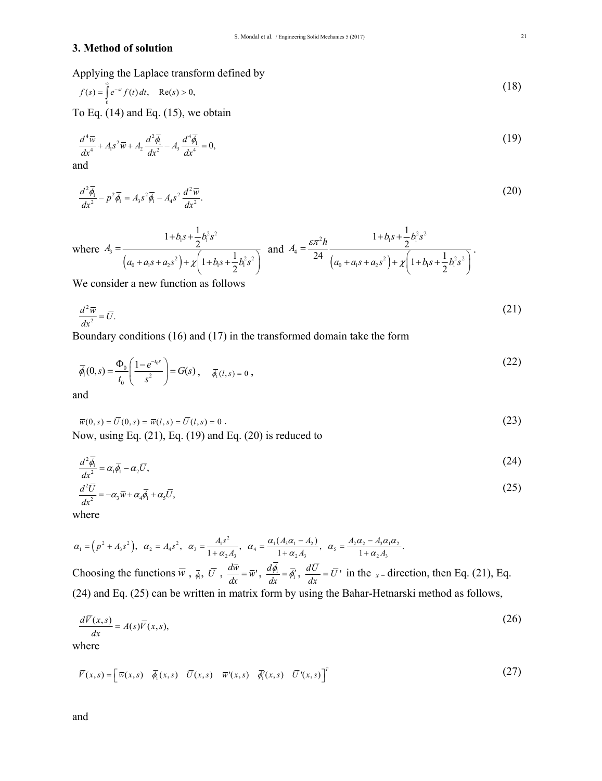# **3. Method of solution**

Applying the Laplace transform defined by

$$
f(s) = \int_{0}^{\infty} e^{-st} f(t) dt, \quad \text{Re}(s) > 0,
$$
\n(18)

To Eq.  $(14)$  and Eq.  $(15)$ , we obtain

$$
\frac{d^4\overline{w}}{dx^4} + A_1s^2\overline{w} + A_2\frac{d^2\overline{\phi}_1}{dx^2} - A_3\frac{d^4\overline{\phi}_1}{dx^4} = 0,
$$
\n(19)

and

$$
\frac{d^2\overline{\phi_1}}{dx^2} - p^2\overline{\phi_1} = A_3s^2\overline{\phi_1} - A_4s^2\frac{d^2\overline{w}}{dx^2}.
$$
\n(20)

where 
$$
A_3 = \frac{1 + b_1 s + \frac{1}{2} b_1^2 s^2}{(a_0 + a_1 s + a_2 s^2) + \chi \left(1 + b_1 s + \frac{1}{2} b_1^2 s^2\right)}
$$
 and  $A_4 = \frac{\varepsilon \pi^2 h}{24} \frac{1 + b_1 s + \frac{1}{2} b_1^2 s^2}{(a_0 + a_1 s + a_2 s^2) + \chi \left(1 + b_1 s + \frac{1}{2} b_1^2 s^2\right)}$ .

We consider a new function as follows

$$
\frac{d^2\overline{w}}{dx^2} = \overline{U}.\tag{21}
$$

Boundary conditions (16) and (17) in the transformed domain take the form

$$
\overline{\phi}_1(0,s) = \frac{\Phi_0}{t_0} \left( \frac{1 - e^{-t_0 s}}{s^2} \right) = G(s), \quad \overline{\phi}_1(l,s) = 0,
$$
\n(22)

and

$$
\overline{w}(0,s) = \overline{U}(0,s) = \overline{w}(l,s) = \overline{U}(l,s) = 0.
$$
\n(23)  
\nNow, using Eq. (21), Eq. (19) and Eq. (20) is reduced to

$$
\frac{d^2\overline{\phi_1}}{dx^2} = \alpha_1 \overline{\phi_1} - \alpha_2 \overline{U},\tag{24}
$$

$$
\frac{d^2\overline{U}}{dx^2} = -\alpha_3 \overline{w} + \alpha_4 \overline{\phi}_1 + \alpha_5 \overline{U},\tag{25}
$$

where

$$
\alpha_1 = (p^2 + A_3 s^2), \quad \alpha_2 = A_4 s^2, \quad \alpha_3 = \frac{A_1 s^2}{1 + \alpha_2 A_3}, \quad \alpha_4 = \frac{\alpha_1 (A_3 \alpha_1 - A_2)}{1 + \alpha_2 A_3}, \quad \alpha_5 = \frac{A_2 \alpha_2 - A_3 \alpha_1 \alpha_2}{1 + \alpha_2 A_3}.
$$
\nChoosing the functions  $\overline{w}$ ,  $\overline{q}$ ,  $\overline{U}$ ,  $\frac{d\overline{w}}{dx} = \overline{w}$ ,  $\frac{d\overline{q}}{dx} = \overline{q}$ ,  $\frac{d\overline{U}}{dx} = \overline{U}$  in the *x*-direction, then Eq. (21), Eq. (24) and Eq. (25) can be written in matrix form by using the Bahar-Hetnarski method as follows,

$$
\frac{d\overline{V}(x,s)}{dx} = A(s)\overline{V}(x,s),\tag{26}
$$

where

$$
\overline{V}(x,s) = \begin{bmatrix} \overline{w}(x,s) & \overline{\phi}_1(x,s) & \overline{U}(x,s) & \overline{w}'(x,s) & \overline{\phi}_1'(x,s) & \overline{U}'(x,s) \end{bmatrix}^T
$$
\n(27)

and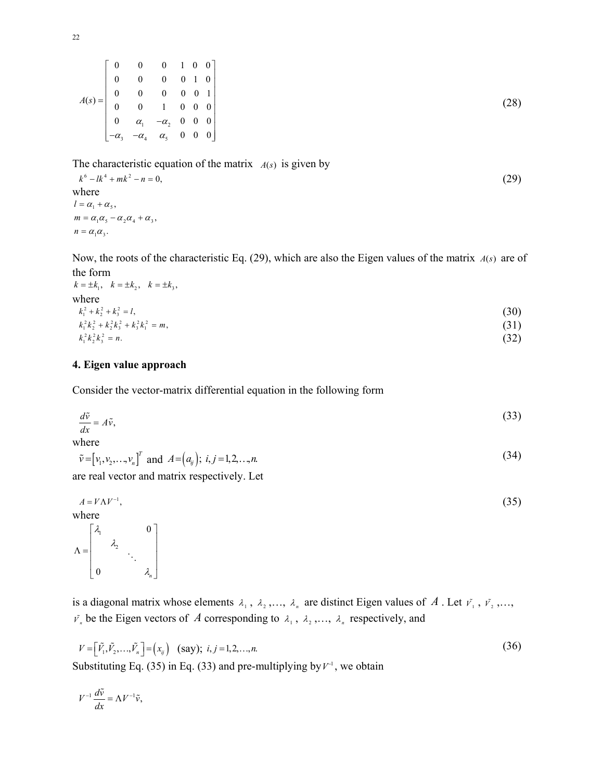$$
A(s) = \begin{bmatrix} 0 & 0 & 0 & 1 & 0 & 0 \\ 0 & 0 & 0 & 0 & 1 & 0 \\ 0 & 0 & 0 & 0 & 0 & 1 \\ 0 & 0 & 1 & 0 & 0 & 0 \\ 0 & \alpha_1 & -\alpha_2 & 0 & 0 & 0 \\ -\alpha_3 & -\alpha_4 & \alpha_5 & 0 & 0 & 0 \end{bmatrix}
$$
(28)

The characteristic equation of the matrix *A(s)* is given by  $k^6 - lk^4 + mk^2 - n = 0$ , (29) where  $l = \alpha_1 + \alpha_5$  $m = \alpha_1 \alpha_5 - \alpha_2 \alpha_4 + \alpha_3$  $n = \alpha_1 \alpha_3$ .

Now, the roots of the characteristic Eq. (29), which are also the Eigen values of the matrix  $A(s)$  are of the form

 $k = \pm k_1, \quad k = \pm k_2, \quad k = \pm k_3,$ where  $k_1^2 + k_2^2 + k_3^2 = l,$  (30)  $k_1^2 k_2^2 + k_2^2 k_3^2 + k_3^2 k_1^2 = m,$  (31)  $k_1^2k_2^2k_3^2 = n$ .  $k_1^2 k_2^2 k_3^2 = n$ . (32)

# **4. Eigen value approach**

Consider the vector-matrix differential equation in the following form

$$
\frac{d\tilde{v}}{dx} = A\tilde{v},\tag{33}
$$

where

$$
\tilde{v} = [v_1, v_2, \dots, v_n]^T \text{ and } A = (a_{ij}); \ i, j = 1, 2, \dots, n. \tag{34}
$$

are real vector and matrix respectively. Let

 $A = V \Lambda V^{-1}$ , (35)

where 1 2 0 0  $\lambda_n$ λ λ λ  $\begin{vmatrix} \lambda_1 & 0 \end{vmatrix}$  $\begin{array}{ccc} & & & \\ & & & \\ & & & & \end{array}$  $\Lambda = \begin{vmatrix} \lambda_2 & \lambda_3 & \lambda_4 \end{vmatrix}$  $\begin{bmatrix} 0 & \lambda_n \end{bmatrix}$  $\sim$   $\parallel$ 

is a diagonal matrix whose elements  $\lambda_1$ ,  $\lambda_2$ ,...,  $\lambda_n$  are distinct Eigen values of A. Let  $\tilde{V}_1$ ,  $\tilde{V}_2$ ,...,  $\tilde{v}_n$  be the Eigen vectors of *A* corresponding to  $\lambda_1$ ,  $\lambda_2$ ,...,  $\lambda_n$  respectively, and

$$
V = \left[\tilde{V}_1, \tilde{V}_2, \dots, \tilde{V}_n\right] = \left(x_{ij}\right) \text{ (say)}; i, j = 1, 2, \dots, n.
$$
  
Substituting Eq. (35) in Eq. (33) and pre-multiplying by  $V^{-1}$ , we obtain

 $V^{-1} \frac{d\tilde{v}}{dx} = \Lambda V^{-1} \tilde{v},$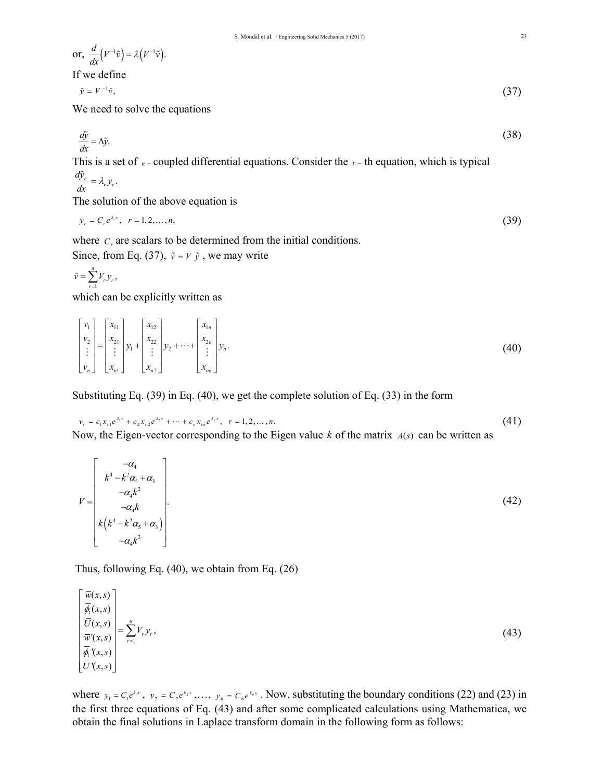or, 
$$
\frac{d}{dx}(V^{-1}\tilde{v}) = \lambda(V^{-1}\tilde{v}).
$$
  
If we define

$$
\tilde{y} = V^{-1}\tilde{v},\tag{37}
$$

We need to solve the equations

$$
\frac{d\tilde{y}}{dx} = \Delta \tilde{y}.\tag{38}
$$

This is a set of  $n -$  coupled differential equations. Consider the  $r -$  th equation, which is typical  $\frac{d\tilde{y}_r}{dx} = \lambda_r y_r.$ 

The solution of the above equation is

$$
y_r = C_r e^{\lambda_r x}, \quad r = 1, 2, \dots, n,
$$
\n(39)

where  $C_r$  are scalars to be determined from the initial conditions. Since, from Eq. (37),  $\tilde{v} = V \tilde{v}$ , we may write

$$
\widetilde{\nu} = \sum_{r=1}^n V_r y_r,
$$

which can be explicitly written as

$$
\begin{bmatrix} v_1 \\ v_2 \\ \vdots \\ v_n \end{bmatrix} = \begin{bmatrix} x_{11} \\ x_{21} \\ \vdots \\ x_{n1} \end{bmatrix} y_1 + \begin{bmatrix} x_{12} \\ x_{22} \\ \vdots \\ x_{n2} \end{bmatrix} y_2 + \dots + \begin{bmatrix} x_{1n} \\ x_{2n} \\ \vdots \\ x_{nn} \end{bmatrix} y_n.
$$
 (40)

Substituting Eq. (39) in Eq. (40), we get the complete solution of Eq. (33) in the form

 $v_r = c_1 x_{r1} e^{\lambda_1 x} + c_2 x_{r2} e^{\lambda_2 x} + \dots + c_n x_{rn} e^{\lambda_n x}, \quad r = 1, 2, \dots, n.$ (41)

Now, the Eigen-vector corresponding to the Eigen value  $k$  of the matrix  $A(s)$  can be written as

$$
V = \begin{bmatrix} -\alpha_4 \\ k^4 - k^2 \alpha_5 + \alpha_3 \\ -\alpha_4 k^2 \\ -\alpha_4 k \\ k \left( k^4 - k^2 \alpha_5 + \alpha_3 \right) \\ -\alpha_4 k^3 \end{bmatrix} . \tag{42}
$$

Thus, following Eq. (40), we obtain from Eq. (26)

$$
\begin{bmatrix}\n\overline{w}(x,s) \\
\overline{\phi}_1(x,s) \\
\overline{U}(x,s) \\
\overline{w}'(x,s) \\
\overline{\phi}_1'(x,s) \\
\overline{U}(x,s)\n\end{bmatrix} = \sum_{r=1}^{6} V_r y_r,
$$
\n(43)

where  $y_1 = C_1 e^{k_1 x}$ ,  $y_2 = C_2 e^{k_2 x}$ ,  $\ldots$ ,  $y_6 = C_6 e^{k_6 x}$ . Now, substituting the boundary conditions (22) and (23) in the first three equations of Eq. (43) and after some complicated calculations using Mathematica, we obtain the final solutions in Laplace transform domain in the following form as follows: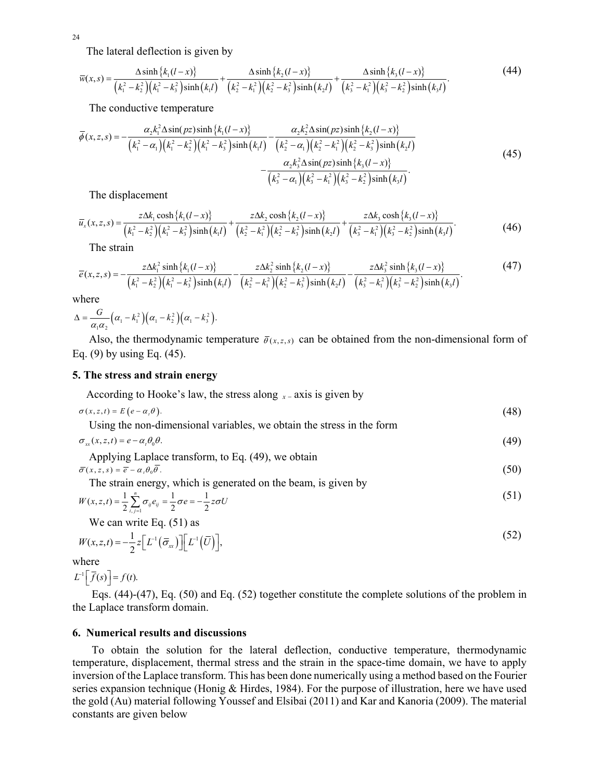The lateral deflection is given by

$$
\overline{w}(x,s) = \frac{\Delta \sinh\left\{k_1(l-x)\right\}}{\left(k_1^2 - k_2^2\right)\left(k_1^2 - k_3^2\right)\sinh\left(k_1l\right)} + \frac{\Delta \sinh\left\{k_2(l-x)\right\}}{\left(k_2^2 - k_1^2\right)\left(k_2^2 - k_3^2\right)\sinh\left(k_2l\right)} + \frac{\Delta \sinh\left\{k_3(l-x)\right\}}{\left(k_3^2 - k_1^2\right)\left(k_3^2 - k_2^2\right)\sinh\left(k_3l\right)}.
$$
\n(44)

The conductive temperature

$$
\overline{\phi}(x, z, s) = -\frac{\alpha_2 k_1^2 \Delta \sin(pz) \sinh\left\{k_1(l-x)\right\}}{\left(k_1^2 - \alpha_1\right)\left(k_1^2 - k_2^2\right)\left(k_1^2 - k_3^2\right) \sinh\left(k_1l\right)} - \frac{\alpha_2 k_2^2 \Delta \sin(pz) \sinh\left\{k_2(l-x)\right\}}{\left(k_2^2 - \alpha_1\right)\left(k_2^2 - k_1^2\right)\left(k_2^2 - k_3^2\right) \sinh\left(k_2l\right)} - \frac{\alpha_2 k_3^2 \Delta \sin(pz) \sinh\left\{k_2(l-x)\right\}}{\left(k_3^2 - \alpha_1\right)\left(k_3^2 - k_1^2\right)\left(k_3^2 - k_2^2\right) \sinh\left(k_3l\right)}.
$$
\n(45)

The displacement

$$
\overline{u}_{x}(x, z, s) = \frac{z\Delta k_{1}\cosh\left\{k_{1}(l-x)\right\}}{\left(k_{1}^{2}-k_{2}^{2}\right)\left(k_{1}^{2}-k_{3}^{2}\right)\sinh\left(k_{1}l\right)} + \frac{z\Delta k_{2}\cosh\left\{k_{2}(l-x)\right\}}{\left(k_{2}^{2}-k_{1}^{2}\right)\left(k_{2}^{2}-k_{3}^{2}\right)\sinh\left(k_{2}l\right)} + \frac{z\Delta k_{3}\cosh\left\{k_{3}(l-x)\right\}}{\left(k_{3}^{2}-k_{1}^{2}\right)\left(k_{3}^{2}-k_{2}^{2}\right)\sinh\left(k_{3}l\right)}.
$$
\n(46)

The strain

$$
\overline{e}(x, z, s) = -\frac{z\Delta k_1^2 \sinh\left\{k_1(l-x)\right\}}{\left(k_1^2 - k_2^2\right)\left(k_1^2 - k_3^2\right)\sinh\left(k_1l\right)} - \frac{z\Delta k_2^2 \sinh\left\{k_2(l-x)\right\}}{\left(k_2^2 - k_1^2\right)\left(k_2^2 - k_3^2\right)\sinh\left(k_2l\right)} - \frac{z\Delta k_3^2 \sinh\left\{k_3(l-x)\right\}}{\left(k_3^2 - k_1^2\right)\left(k_3^2 - k_2^2\right)\sinh\left(k_3l\right)}.
$$
\n(47)

where

$$
\Delta = \frac{G}{\alpha_1 \alpha_2} (\alpha_1 - k_1^2) (\alpha_1 - k_2^2) (\alpha_1 - k_3^2).
$$

Also, the thermodynamic temperature  $\bar{\theta}(x,z,s)$  can be obtained from the non-dimensional form of Eq. (9) by using Eq. (45).

# **5. The stress and strain energy**

According to Hooke's law, the stress along  $x - a$  axis is given by

$$
\sigma(x, z, t) = E(e - \alpha, \theta).
$$
\nUsing the non-dimensional variables, we obtain the stress in the form

\n
$$
\mathbf{f}(48) = \mathbf{f}(x, t) + \mathbf{f}(x, t) + \mathbf{f}(x, t) + \mathbf{f}(x, t) + \mathbf{f}(x, t) + \mathbf{f}(x, t) + \mathbf{f}(x, t) + \mathbf{f}(x, t) + \mathbf{f}(x, t) + \mathbf{f}(x, t) + \mathbf{f}(x, t) + \mathbf{f}(x, t) + \mathbf{f}(x, t) + \mathbf{f}(x, t) + \mathbf{f}(x, t) + \mathbf{f}(x, t) + \mathbf{f}(x, t) + \mathbf{f}(x, t) + \mathbf{f}(x, t) + \mathbf{f}(x, t) + \mathbf{f}(x, t) + \mathbf{f}(x, t) + \mathbf{f}(x, t) + \mathbf{f}(x, t) + \mathbf{f}(x, t) + \mathbf{f}(x, t) + \mathbf{f}(x, t) + \mathbf{f}(x, t) + \mathbf{f}(x, t) + \mathbf{f}(x, t) + \mathbf{f}(x, t) + \mathbf{f}(x, t) + \mathbf{f}(x, t) + \mathbf{f}(x, t) + \mathbf{f}(x, t) + \mathbf{f}(x, t) + \mathbf{f}(x, t) + \mathbf{f}(x, t) + \mathbf{f}(x, t) + \mathbf{f}(x, t) + \mathbf{f}(x, t) + \mathbf{f}(x, t) + \mathbf{f}(x, t) + \mathbf{f}(x, t) + \mathbf{f}(x, t) + \mathbf{f}(x, t) + \mathbf{f}(x, t) + \mathbf{f}(x, t) + \mathbf{f}(x, t) + \mathbf{f}(x, t) + \mathbf{f}(x, t) + \mathbf{f}(x, t) + \mathbf{f}(x, t) + \mathbf{f}(x, t) + \mathbf{f}(x, t) + \mathbf{f}(x, t) + \mathbf{f}(x, t) + \mathbf{f}(x, t) + \mathbf{f}(x, t) + \mathbf{f}(x, t) + \mathbf{f}(x, t) + \mathbf{f}(x, t) + \mathbf{f}(x, t) + \mathbf{f}(x, t) + \
$$

$$
\sigma_{xx}(x, z, t) = e - \alpha_t \theta_0 \theta.
$$
\n(49)

\nApplying Laplace transform, to Eq. (49), we obtain

 $\bar{\sigma}(x,z,s) = \bar{e} - a \theta_0 \bar{\theta}$ . (50)

The strain energy, which is generated on the beam, is given by

$$
W(x, z, t) = \frac{1}{2} \sum_{i,j=1}^{n} \sigma_{ij} e_{ij} = \frac{1}{2} \sigma e = -\frac{1}{2} z \sigma U
$$
\n(51)

We can write Eq.  $(51)$  as

$$
W(x,z,t) = -\frac{1}{2}z \Big[ L^{-1}(\overline{\sigma}_x) \Big] \Big[L^{-1}(\overline{U}) \Big],\tag{52}
$$

where

$$
L^{-1}\left[\overline{f}(s)\right] = f(t).
$$

 Eqs. (44)-(47), Eq. (50) and Eq. (52) together constitute the complete solutions of the problem in the Laplace transform domain.

#### **6. Numerical results and discussions**

 To obtain the solution for the lateral deflection, conductive temperature, thermodynamic temperature, displacement, thermal stress and the strain in the space-time domain, we have to apply inversion of the Laplace transform. This has been done numerically using a method based on the Fourier series expansion technique (Honig & Hirdes, 1984). For the purpose of illustration, here we have used the gold (Au) material following Youssef and Elsibai (2011) and Kar and Kanoria (2009). The material constants are given below

24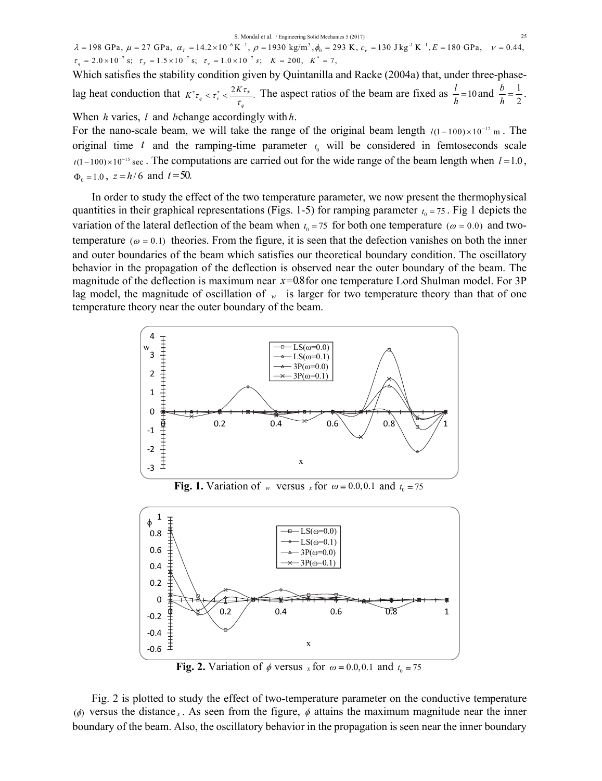S. Mondal et al. / Engineering Solid Mechanics 5 (2017)  $\lambda = 198 \text{ GPa}, \ \mu = 27 \text{ GPa}, \ \alpha_T = 14.2 \times 10^{-6} \text{ K}^{-1}, \ \rho = 1930 \text{ kg/m}^3, \phi_0 = 293 \text{ K}, \ c_v = 130 \text{ J kg}^{-1} \text{ K}^{-1}, E = 180 \text{ GPa}, \quad v = 0.44,$  $\tau_q = 2.0 \times 10^{-7} \text{ s}; \quad \tau_T = 1.5 \times 10^{-7} \text{ s}; \quad \tau_v = 1.0 \times 10^{-7} \text{ s}; \quad K = 200, \quad K^* = 7,$ 

Which satisfies the stability condition given by Quintanilla and Racke (2004a) that, under three-phaselag heat conduction that  $K^* \tau_q < \tau_v^* < \frac{2K\tau_r}{\tau_q}$ . The aspect ratios of the beam are fixed as  $\frac{l}{h} = 10$  and  $\frac{b}{h} = \frac{1}{2}$  $\frac{b}{h} = \frac{1}{2}$ . When *h* varies, *l* and *b*change accordingly with *h*.

For the nano-scale beam, we will take the range of the original beam length  $1/(1 - 100) \times 10^{-12}$  m. The original time  $t$  and the ramping-time parameter  $t_0$  will be considered in femtoseconds scale  $t(1-100) \times 10^{-15}$  sec. The computations are carried out for the wide range of the beam length when  $l=1.0$ ,  $\Phi_0 = 1.0$ ,  $z = h/6$  and  $t = 50$ .

 In order to study the effect of the two temperature parameter, we now present the thermophysical quantities in their graphical representations (Figs. 1-5) for ramping parameter  $t_0 = 75$ . Fig 1 depicts the variation of the lateral deflection of the beam when  $t_0 = 75$  for both one temperature ( $\omega = 0.0$ ) and twotemperature ( $\omega = 0.1$ ) theories. From the figure, it is seen that the defection vanishes on both the inner and outer boundaries of the beam which satisfies our theoretical boundary condition. The oscillatory behavior in the propagation of the deflection is observed near the outer boundary of the beam. The magnitude of the deflection is maximum near  $x=0.8$  for one temperature Lord Shulman model. For 3P lag model, the magnitude of oscillation of  $w$  is larger for two temperature theory than that of one temperature theory near the outer boundary of the beam.



**Fig. 2.** Variation of  $\phi$  versus *x* for  $\omega = 0.0, 0.1$  and  $t_0 = 75$ 

 Fig. 2 is plotted to study the effect of two-temperature parameter on the conductive temperature ( $\phi$ ) versus the distance *x*. As seen from the figure,  $\phi$  attains the maximum magnitude near the inner boundary of the beam. Also, the oscillatory behavior in the propagation is seen near the inner boundary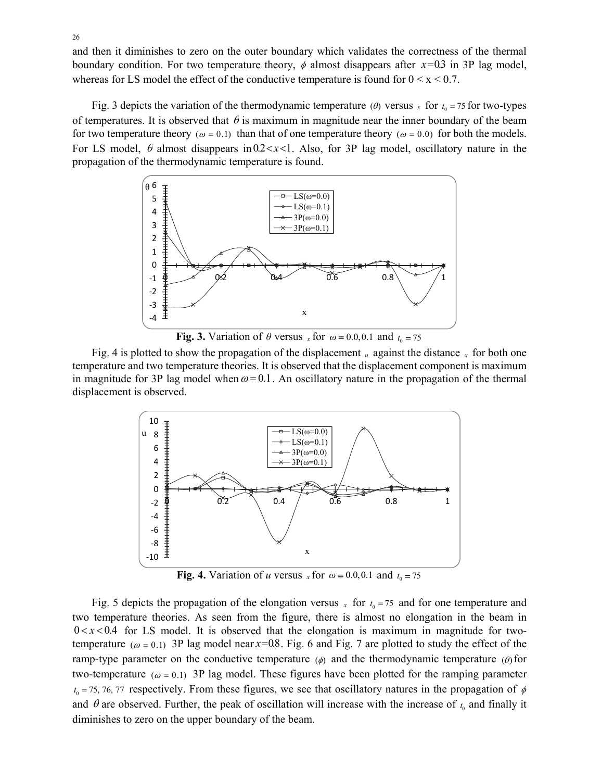and then it diminishes to zero on the outer boundary which validates the correctness of the thermal boundary condition. For two temperature theory,  $\phi$  almost disappears after *x*=0.3 in 3P lag model, whereas for LS model the effect of the conductive temperature is found for  $0 \le x \le 0.7$ .

Fig. 3 depicts the variation of the thermodynamic temperature ( $\theta$ ) versus *x* for  $t_0 = 75$  for two-types of temperatures. It is observed that  $\theta$  is maximum in magnitude near the inner boundary of the beam for two temperature theory ( $\omega = 0.1$ ) than that of one temperature theory ( $\omega = 0.0$ ) for both the models. For LS model,  $\theta$  almost disappears in 0.2 < *x* < 1. Also, for 3P lag model, oscillatory nature in the propagation of the thermodynamic temperature is found.



**Fig. 3.** Variation of  $\theta$  versus *x* for  $\omega = 0.0, 0.1$  and  $t_0 = 75$ 

Fig. 4 is plotted to show the propagation of the displacement  $\mu$  against the distance  $\chi$  for both one temperature and two temperature theories. It is observed that the displacement component is maximum in magnitude for 3P lag model when  $\omega = 0.1$ . An oscillatory nature in the propagation of the thermal displacement is observed.



**Fig. 4.** Variation of *u* versus *x* for  $\omega = 0.0, 0.1$  and  $t_0 = 75$ 

Fig. 5 depicts the propagation of the elongation versus  $x$  for  $t_0 = 75$  and for one temperature and two temperature theories. As seen from the figure, there is almost no elongation in the beam in  $0 < x < 0.4$  for LS model. It is observed that the elongation is maximum in magnitude for twotemperature ( $\omega = 0.1$ ) 3P lag model near  $x=0.8$ . Fig. 6 and Fig. 7 are plotted to study the effect of the ramp-type parameter on the conductive temperature  $(\phi)$  and the thermodynamic temperature  $(\theta)$  for two-temperature ( $\omega = 0.1$ ) 3P lag model. These figures have been plotted for the ramping parameter  $t_0$  = 75, 76, 77 respectively. From these figures, we see that oscillatory natures in the propagation of  $\phi$ and  $\theta$  are observed. Further, the peak of oscillation will increase with the increase of  $t_0$  and finally it diminishes to zero on the upper boundary of the beam.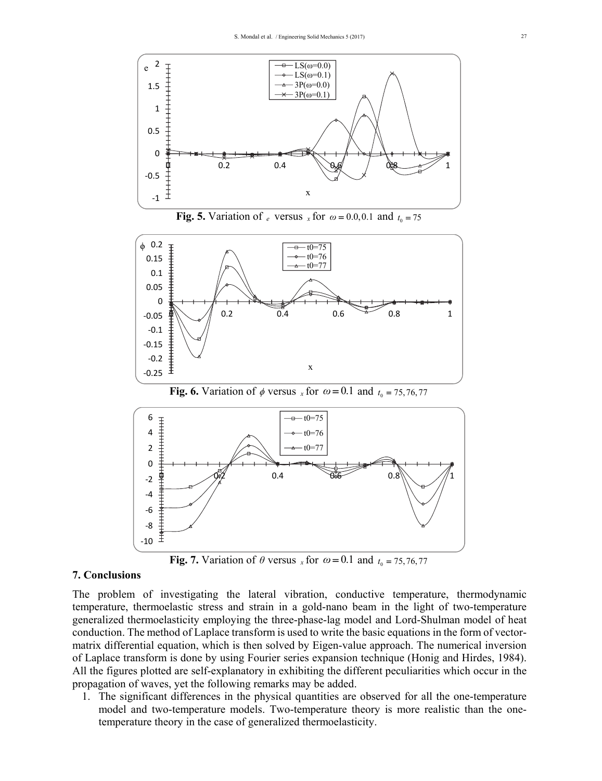

**Fig. 7.** Variation of  $\theta$  versus *x* for  $\omega = 0.1$  and  $t_0 = 75,76,77$ 

# **7. Conclusions**

The problem of investigating the lateral vibration, conductive temperature, thermodynamic temperature, thermoelastic stress and strain in a gold-nano beam in the light of two-temperature generalized thermoelasticity employing the three-phase-lag model and Lord-Shulman model of heat conduction. The method of Laplace transform is used to write the basic equations in the form of vectormatrix differential equation, which is then solved by Eigen-value approach. The numerical inversion of Laplace transform is done by using Fourier series expansion technique (Honig and Hirdes, 1984). All the figures plotted are self-explanatory in exhibiting the different peculiarities which occur in the propagation of waves, yet the following remarks may be added.

1. The significant differences in the physical quantities are observed for all the one-temperature model and two-temperature models. Two-temperature theory is more realistic than the onetemperature theory in the case of generalized thermoelasticity.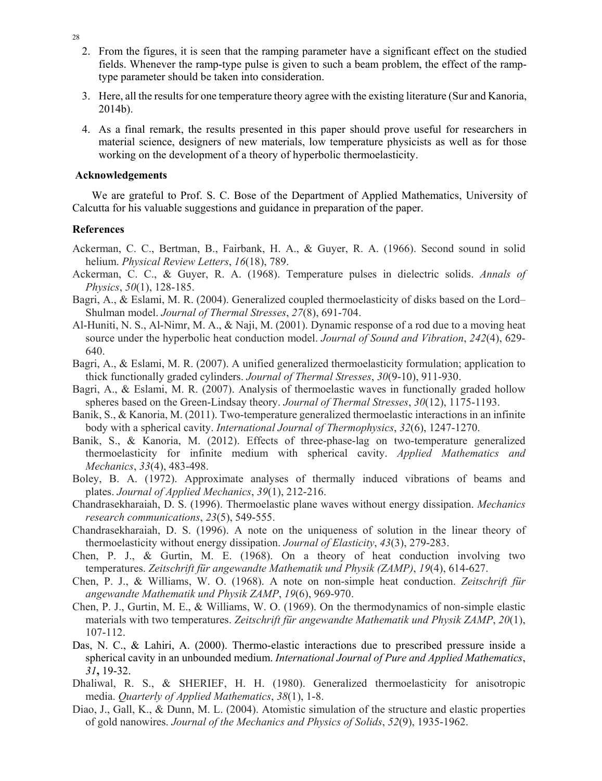- 2. From the figures, it is seen that the ramping parameter have a significant effect on the studied fields. Whenever the ramp-type pulse is given to such a beam problem, the effect of the ramptype parameter should be taken into consideration.
- 3. Here, all the results for one temperature theory agree with the existing literature (Sur and Kanoria, 2014b).
- 4. As a final remark, the results presented in this paper should prove useful for researchers in material science, designers of new materials, low temperature physicists as well as for those working on the development of a theory of hyperbolic thermoelasticity.

#### **Acknowledgements**

 We are grateful to Prof. S. C. Bose of the Department of Applied Mathematics, University of Calcutta for his valuable suggestions and guidance in preparation of the paper.

#### **References**

- Ackerman, C. C., Bertman, B., Fairbank, H. A., & Guyer, R. A. (1966). Second sound in solid helium. *Physical Review Letters*, *16*(18), 789.
- Ackerman, C. C., & Guyer, R. A. (1968). Temperature pulses in dielectric solids. *Annals of Physics*, *50*(1), 128-185.
- Bagri, A., & Eslami, M. R. (2004). Generalized coupled thermoelasticity of disks based on the Lord– Shulman model. *Journal of Thermal Stresses*, *27*(8), 691-704.
- Al-Huniti, N. S., Al-Nimr, M. A., & Naji, M. (2001). Dynamic response of a rod due to a moving heat source under the hyperbolic heat conduction model. *Journal of Sound and Vibration*, *242*(4), 629- 640.
- Bagri, A., & Eslami, M. R. (2007). A unified generalized thermoelasticity formulation; application to thick functionally graded cylinders. *Journal of Thermal Stresses*, *30*(9-10), 911-930.
- Bagri, A., & Eslami, M. R. (2007). Analysis of thermoelastic waves in functionally graded hollow spheres based on the Green-Lindsay theory. *Journal of Thermal Stresses*, *30*(12), 1175-1193.
- Banik, S., & Kanoria, M. (2011). Two-temperature generalized thermoelastic interactions in an infinite body with a spherical cavity. *International Journal of Thermophysics*, *32*(6), 1247-1270.
- Banik, S., & Kanoria, M. (2012). Effects of three-phase-lag on two-temperature generalized thermoelasticity for infinite medium with spherical cavity. *Applied Mathematics and Mechanics*, *33*(4), 483-498.
- Boley, B. A. (1972). Approximate analyses of thermally induced vibrations of beams and plates. *Journal of Applied Mechanics*, *39*(1), 212-216.
- Chandrasekharaiah, D. S. (1996). Thermoelastic plane waves without energy dissipation. *Mechanics research communications*, *23*(5), 549-555.
- Chandrasekharaiah, D. S. (1996). A note on the uniqueness of solution in the linear theory of thermoelasticity without energy dissipation. *Journal of Elasticity*, *43*(3), 279-283.
- Chen, P. J., & Gurtin, M. E. (1968). On a theory of heat conduction involving two temperatures. *Zeitschrift für angewandte Mathematik und Physik (ZAMP)*, *19*(4), 614-627.
- Chen, P. J., & Williams, W. O. (1968). A note on non-simple heat conduction. *Zeitschrift für angewandte Mathematik und Physik ZAMP*, *19*(6), 969-970.
- Chen, P. J., Gurtin, M. E., & Williams, W. O. (1969). On the thermodynamics of non-simple elastic materials with two temperatures. *Zeitschrift für angewandte Mathematik und Physik ZAMP*, *20*(1), 107-112.
- Das, N. C., & Lahiri, A. (2000). Thermo-elastic interactions due to prescribed pressure inside a spherical cavity in an unbounded medium. *International Journal of Pure and Applied Mathematics*, *31***,** 19-32.
- Dhaliwal, R. S., & SHERIEF, H. H. (1980). Generalized thermoelasticity for anisotropic media. *Quarterly of Applied Mathematics*, *38*(1), 1-8.
- Diao, J., Gall, K., & Dunn, M. L. (2004). Atomistic simulation of the structure and elastic properties of gold nanowires. *Journal of the Mechanics and Physics of Solids*, *52*(9), 1935-1962.

28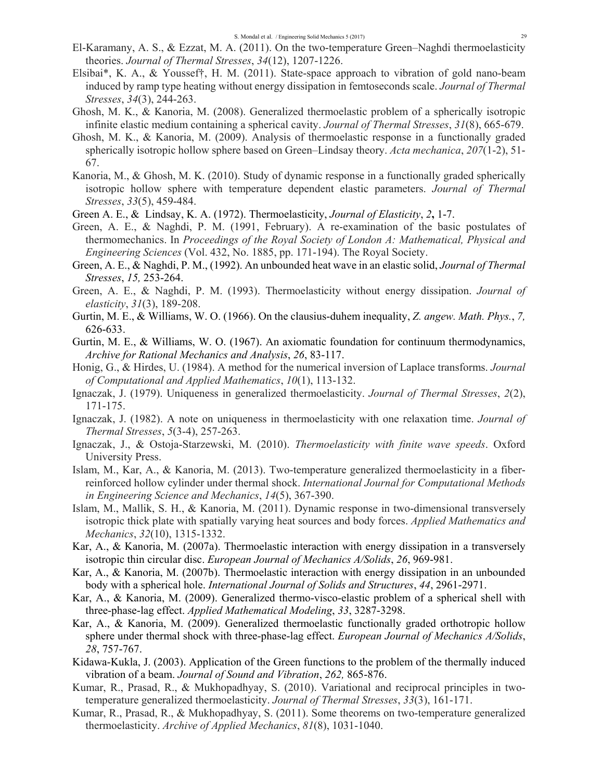- El-Karamany, A. S., & Ezzat, M. A. (2011). On the two-temperature Green–Naghdi thermoelasticity theories. *Journal of Thermal Stresses*, *34*(12), 1207-1226.
- Elsibai\*, K. A., & Youssef†, H. M. (2011). State-space approach to vibration of gold nano-beam induced by ramp type heating without energy dissipation in femtoseconds scale. *Journal of Thermal Stresses*, *34*(3), 244-263.
- Ghosh, M. K., & Kanoria, M. (2008). Generalized thermoelastic problem of a spherically isotropic infinite elastic medium containing a spherical cavity. *Journal of Thermal Stresses*, *31*(8), 665-679.
- Ghosh, M. K., & Kanoria, M. (2009). Analysis of thermoelastic response in a functionally graded spherically isotropic hollow sphere based on Green–Lindsay theory. *Acta mechanica*, *207*(1-2), 51- 67.
- Kanoria, M., & Ghosh, M. K. (2010). Study of dynamic response in a functionally graded spherically isotropic hollow sphere with temperature dependent elastic parameters. *Journal of Thermal Stresses*, *33*(5), 459-484.
- Green A. E., & Lindsay, K. A. (1972). Thermoelasticity, *Journal of Elasticity*, *2***,** 1-7.
- Green, A. E., & Naghdi, P. M. (1991, February). A re-examination of the basic postulates of thermomechanics. In *Proceedings of the Royal Society of London A: Mathematical, Physical and Engineering Sciences* (Vol. 432, No. 1885, pp. 171-194). The Royal Society.
- Green, A. E., & Naghdi, P. M., (1992). An unbounded heat wave in an elastic solid, *Journal of Thermal Stresses*, *15,* 253-264.
- Green, A. E., & Naghdi, P. M. (1993). Thermoelasticity without energy dissipation. *Journal of elasticity*, *31*(3), 189-208.
- Gurtin, M. E., & Williams, W. O. (1966). On the clausius-duhem inequality, *Z. angew. Math. Phys.*, *7,* 626-633.
- Gurtin, M. E., & Williams, W. O. (1967). An axiomatic foundation for continuum thermodynamics, *Archive for Rational Mechanics and Analysis*, *26*, 83-117.
- Honig, G., & Hirdes, U. (1984). A method for the numerical inversion of Laplace transforms. *Journal of Computational and Applied Mathematics*, *10*(1), 113-132.
- Ignaczak, J. (1979). Uniqueness in generalized thermoelasticity. *Journal of Thermal Stresses*, *2*(2), 171-175.
- Ignaczak, J. (1982). A note on uniqueness in thermoelasticity with one relaxation time. *Journal of Thermal Stresses*, *5*(3-4), 257-263.
- Ignaczak, J., & Ostoja-Starzewski, M. (2010). *Thermoelasticity with finite wave speeds*. Oxford University Press.
- Islam, M., Kar, A., & Kanoria, M. (2013). Two-temperature generalized thermoelasticity in a fiberreinforced hollow cylinder under thermal shock. *International Journal for Computational Methods in Engineering Science and Mechanics*, *14*(5), 367-390.
- Islam, M., Mallik, S. H., & Kanoria, M. (2011). Dynamic response in two-dimensional transversely isotropic thick plate with spatially varying heat sources and body forces. *Applied Mathematics and Mechanics*, *32*(10), 1315-1332.
- Kar, A., & Kanoria, M. (2007a). Thermoelastic interaction with energy dissipation in a transversely isotropic thin circular disc. *European Journal of Mechanics A/Solids*, *26*, 969-981.
- Kar, A., & Kanoria, M. (2007b). Thermoelastic interaction with energy dissipation in an unbounded body with a spherical hole. *International Journal of Solids and Structures*, *44*, 2961-2971.
- Kar, A., & Kanoria, M. (2009). Generalized thermo-visco-elastic problem of a spherical shell with three-phase-lag effect. *Applied Mathematical Modeling*, *33*, 3287-3298.
- Kar, A., & Kanoria, M. (2009). Generalized thermoelastic functionally graded orthotropic hollow sphere under thermal shock with three-phase-lag effect. *European Journal of Mechanics A/Solids*, *28*, 757-767.
- Kidawa-Kukla, J. (2003). Application of the Green functions to the problem of the thermally induced vibration of a beam. *Journal of Sound and Vibration*, *262,* 865-876.
- Kumar, R., Prasad, R., & Mukhopadhyay, S. (2010). Variational and reciprocal principles in twotemperature generalized thermoelasticity. *Journal of Thermal Stresses*, *33*(3), 161-171.
- Kumar, R., Prasad, R., & Mukhopadhyay, S. (2011). Some theorems on two-temperature generalized thermoelasticity. *Archive of Applied Mechanics*, *81*(8), 1031-1040.